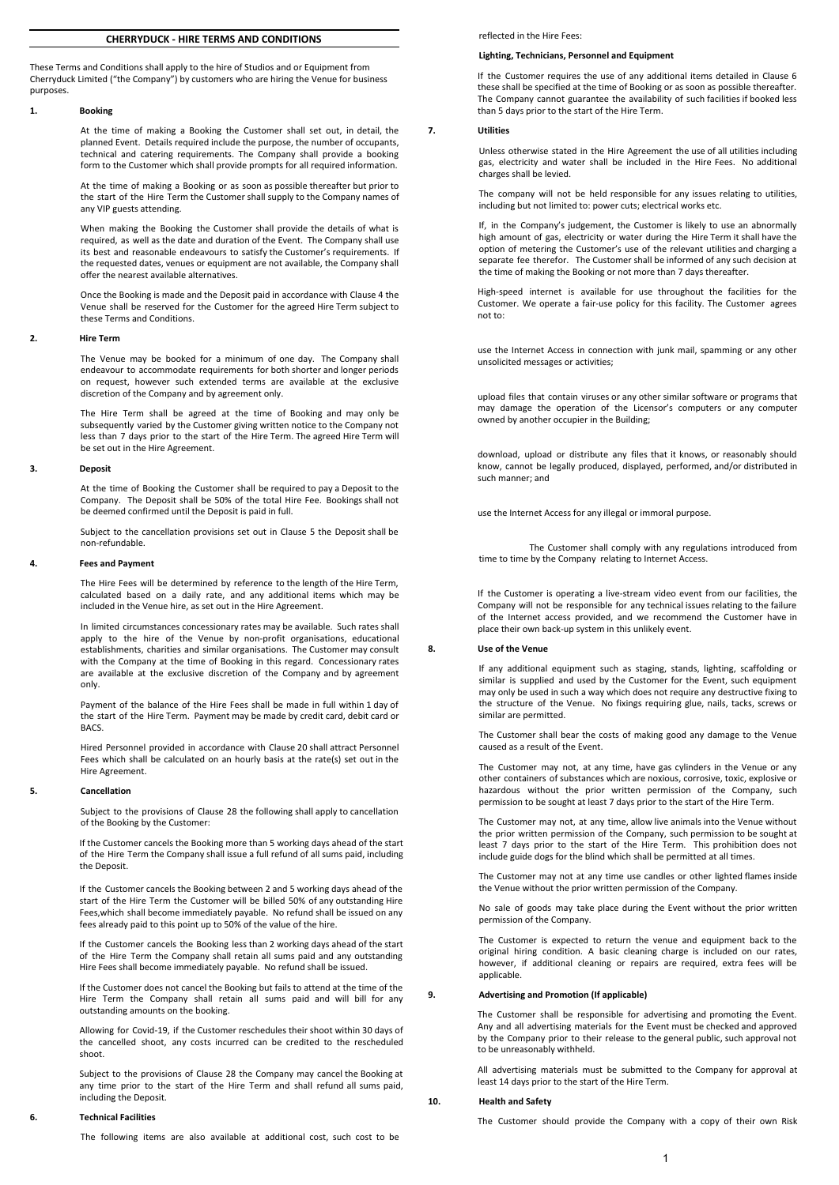# **CHERRYDUCK - HIRE TERMS AND CONDITIONS**

These Terms and Conditions shall apply to the hire of Studios and or Equipment from Cherryduck Limited ("the Company") by customers who are hiring the Venue for business purposes.

## **1. Booking**

At the time of making a Booking the Customer shall set out, in detail, the planned Event. Details required include the purpose, the number of occupants, technical and catering requirements. The Company shall provide a booking form to the Customer which shall provide prompts for all required information.

At the time of making a Booking or as soon as possible thereafter but prior to the start of the Hire Term the Customer shall supply to the Company names of any VIP guests attending.

When making the Booking the Customer shall provide the details of what is required, as well as the date and duration of the Event. The Company shall use its best and reasonable endeavours to satisfy the Customer's requirements. If the requested dates, venues or equipment are not available, the Company shall offer the nearest available alternatives.

Once the Booking is made and the Deposit paid in accordance with Clause 4 the Venue shall be reserved for the Customer for the agreed Hire Term subject to these Terms and Conditions.

### **2. Hire Term**

The Venue may be booked for a minimum of one day. The Company shall endeavour to accommodate requirements for both shorter and longer periods on request, however such extended terms are available at the exclusive discretion of the Company and by agreement only.

The Hire Term shall be agreed at the time of Booking and may only be subsequently varied by the Customer giving written notice to the Company not less than 7 days prior to the start of the Hire Term. The agreed Hire Term will be set out in the Hire Agreement.

#### **3. Deposit**

At the time of Booking the Customer shall be required to pay a Deposit to the Company. The Deposit shall be 50% of the total Hire Fee. Bookings shall not be deemed confirmed until the Deposit is paid in full.

Subject to the cancellation provisions set out in Clause 5 the Deposit shall be non-refundable.

#### **4. Fees and Payment**

The Hire Fees will be determined by reference to the length of the Hire Term, calculated based on a daily rate, and any additional items which may be included in the Venue hire, as set out in the Hire Agreement.

In limited circumstances concessionary rates may be available. Such rates shall apply to the hire of the Venue by non-profit organisations, educational establishments, charities and similar organisations. The Customer may consult with the Company at the time of Booking in this regard. Concessionary rates are available at the exclusive discretion of the Company and by agreement only.

Payment of the balance of the Hire Fees shall be made in full within 1 day of the start of the Hire Term. Payment may be made by credit card, debit card or BACS.

Hired Personnel provided in accordance with Clause 20 shall attract Personnel Fees which shall be calculated on an hourly basis at the rate(s) set out in the Hire Agreement.

## **5. Cancellation**

Subject to the provisions of Clause 28 the following shall apply to cancellation of the Booking by the Customer:

If the Customer cancels the Booking more than 5 working days ahead of the start of the Hire Term the Company shall issue a full refund of all sums paid, including the Deposit.

If the Customer cancels the Booking between 2 and 5 working days ahead of the start of the Hire Term the Customer will be billed 50% of any outstanding Hire Fees,which shall become immediately payable. No refund shall be issued on any fees already paid to this point up to 50% of the value of the hire.

If the Customer cancels the Booking less than 2 working days ahead of the start of the Hire Term the Company shall retain all sums paid and any outstanding Hire Fees shall become immediately payable. No refund shall be issued.

If the Customer does not cancel the Booking but fails to attend at the time of the Hire Term the Company shall retain all sums paid and will bill for any outstanding amounts on the booking.

Allowing for Covid-19, if the Customer reschedules their shoot within 30 days of the cancelled shoot, any costs incurred can be credited to the rescheduled shoot.

Subject to the provisions of Clause 28 the Company may cancel the Booking at any time prior to the start of the Hire Term and shall refund all sums paid, including the Deposit.

## **6. Technical Facilities**

The following items are also available at additional cost, such cost to be

reflected in the Hire Fees:

## **Lighting, Technicians, Personnel and Equipment**

If the Customer requires the use of any additional items detailed in Clause 6 these shall be specified at the time of Booking or as soon as possible thereafter. The Company cannot guarantee the availability of such facilities if booked less than 5 days prior to the start of the Hire Term.

# **7. Utilities**

Unless otherwise stated in the Hire Agreement the use of all utilities including gas, electricity and water shall be included in the Hire Fees. No additional charges shall be levied.

The company will not be held responsible for any issues relating to utilities, including but not limited to: power cuts; electrical works etc.

If, in the Company's judgement, the Customer is likely to use an abnormally high amount of gas, electricity or water during the Hire Term it shall have the option of metering the Customer's use of the relevant utilities and charging a separate fee therefor. The Customer shall be informed of any such decision at the time of making the Booking or not more than 7 days thereafter.

High-speed internet is available for use throughout the facilities for the Customer. We operate a fair-use policy for this facility. The Customer agrees not to:

use the Internet Access in connection with junk mail, spamming or any other unsolicited messages or activities;

upload files that contain viruses or any other similar software or programs that may damage the operation of the Licensor's computers or any computer owned by another occupier in the Building;

download, upload or distribute any files that it knows, or reasonably should know, cannot be legally produced, displayed, performed, and/or distributed in such manner; and

use the Internet Access for any illegal or immoral purpose.

The Customer shall comply with any regulations introduced from time to time by the Company relating to Internet Access.

If the Customer is operating a live-stream video event from our facilities, the Company will not be responsible for any technical issues relating to the failure of the Internet access provided, and we recommend the Customer have in place their own back-up system in this unlikely event.

### **8. Use of the Venue**

If any additional equipment such as staging, stands, lighting, scaffolding or similar is supplied and used by the Customer for the Event, such equipment may only be used in such a way which does not require any destructive fixing to the structure of the Venue. No fixings requiring glue, nails, tacks, screws or similar are permitted.

The Customer shall bear the costs of making good any damage to the Venue caused as a result of the Event.

The Customer may not, at any time, have gas cylinders in the Venue or any other containers of substances which are noxious, corrosive, toxic, explosive or hazardous without the prior written permission of the Company, such permission to be sought at least 7 days prior to the start of the Hire Term.

The Customer may not, at any time, allow live animals into the Venue without the prior written permission of the Company, such permission to be sought at least 7 days prior to the start of the Hire Term. This prohibition does not include guide dogs for the blind which shall be permitted at all times.

The Customer may not at any time use candles or other lighted flames inside the Venue without the prior written permission of the Company.

No sale of goods may take place during the Event without the prior written permission of the Company.

The Customer is expected to return the venue and equipment back to the original hiring condition. A basic cleaning charge is included on our rates, however, if additional cleaning or repairs are required, extra fees will be applicable.

## **9. Advertising and Promotion (If applicable)**

The Customer shall be responsible for advertising and promoting the Event. Any and all advertising materials for the Event must be checked and approved by the Company prior to their release to the general public, such approval not to be unreasonably withheld.

All advertising materials must be submitted to the Company for approval at least 14 days prior to the start of the Hire Term.

#### **10. Health and Safety**

The Customer should provide the Company with a copy of their own Risk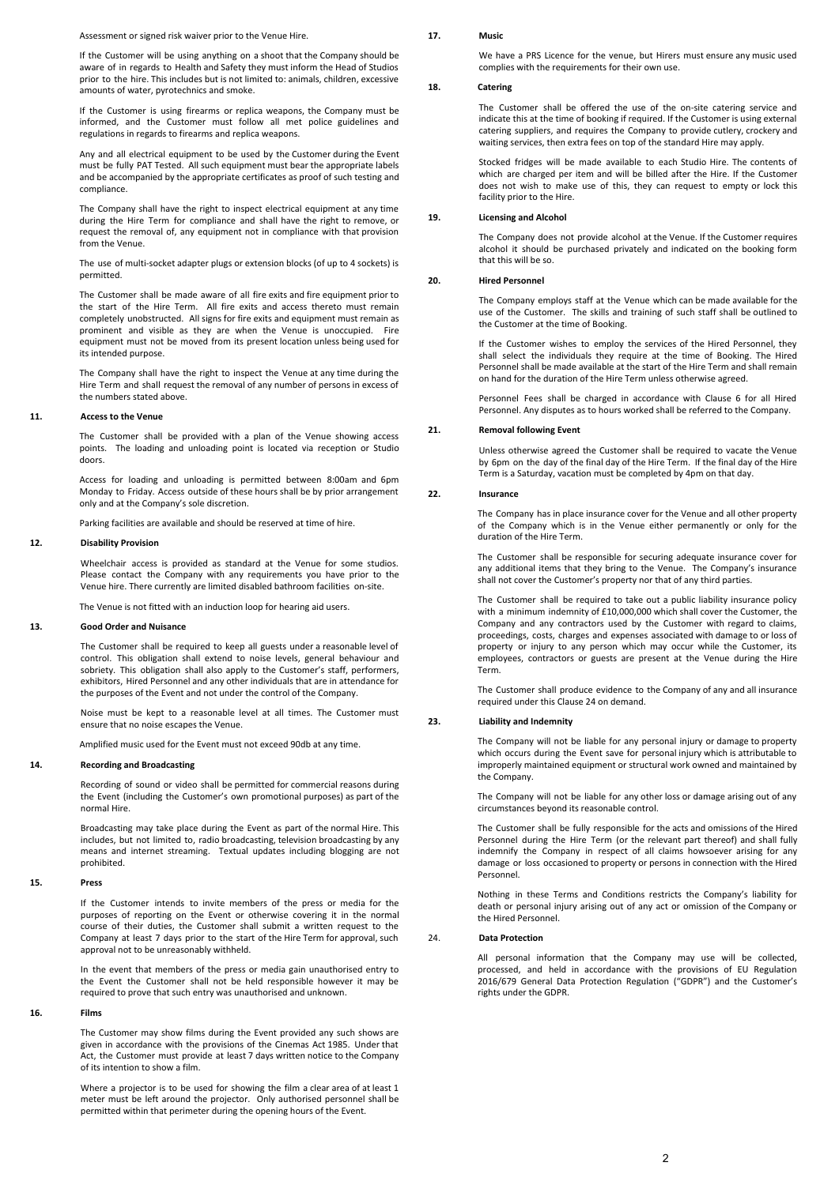Assessment or signed risk waiver prior to the Venue Hire.

If the Customer will be using anything on a shoot that the Company should be aware of in regards to Health and Safety they must inform the Head of Studios prior to the hire. This includes but is not limited to: animals, children, excessive amounts of water, pyrotechnics and smoke.

If the Customer is using firearms or replica weapons, the Company must be informed, and the Customer must follow all met police guidelines and regulations in regards to firearms and replica weapons.

Any and all electrical equipment to be used by the Customer during the Event must be fully PAT Tested. All such equipment must bear the appropriate labels and be accompanied by the appropriate certificates as proof of such testing and compliance.

The Company shall have the right to inspect electrical equipment at any time during the Hire Term for compliance and shall have the right to remove, or request the removal of, any equipment not in compliance with that provision from the Venue.

The use of multi-socket adapter plugs or extension blocks (of up to 4 sockets) is permitted.

The Customer shall be made aware of all fire exits and fire equipment prior to the start of the Hire Term. All fire exits and access thereto must remain completely unobstructed. All signs for fire exits and equipment must remain as prominent and visible as they are when the Venue is unoccupied. Fire equipment must not be moved from its present location unless being used for its intended purpose.

The Company shall have the right to inspect the Venue at any time during the Hire Term and shall request the removal of any number of persons in excess of the numbers stated above.

## **11. Access to the Venue**

The Customer shall be provided with a plan of the Venue showing access points. The loading and unloading point is located via reception or Studio doors.

Access for loading and unloading is permitted between 8:00am and 6pm Monday to Friday. Access outside of these hours shall be by prior arrangement only and at the Company's sole discretion.

Parking facilities are available and should be reserved at time of hire.

## **12. Disability Provision**

Wheelchair access is provided as standard at the Venue for some studios. Please contact the Company with any requirements you have prior to the Venue hire. There currently are limited disabled bathroom facilities on-site.

The Venue is not fitted with an induction loop for hearing aid users.

### **13. Good Order and Nuisance**

The Customer shall be required to keep all guests under a reasonable level of control. This obligation shall extend to noise levels, general behaviour and sobriety. This obligation shall also apply to the Customer's staff, performers, exhibitors, Hired Personnel and any other individuals that are in attendance for the purposes of the Event and not under the control of the Company.

Noise must be kept to a reasonable level at all times. The Customer must ensure that no noise escapes the Venue.

Amplified music used for the Event must not exceed 90db at any time.

## **14. Recording and Broadcasting**

Recording of sound or video shall be permitted for commercial reasons during the Event (including the Customer's own promotional purposes) as part of the normal Hire.

Broadcasting may take place during the Event as part of the normal Hire. This includes, but not limited to, radio broadcasting, television broadcasting by any means and internet streaming. Textual updates including blogging are not prohibited.

## **15. Press**

If the Customer intends to invite members of the press or media for the purposes of reporting on the Event or otherwise covering it in the normal course of their duties, the Customer shall submit a written request to the Company at least 7 days prior to the start of the Hire Term for approval, such approval not to be unreasonably withheld.

In the event that members of the press or media gain unauthorised entry to the Event the Customer shall not be held responsible however it may be required to prove that such entry was unauthorised and unknown.

## **16. Films**

The Customer may show films during the Event provided any such shows are given in accordance with the provisions of the Cinemas Act 1985. Under that Act, the Customer must provide at least 7 days written notice to the Company of its intention to show a film.

Where a projector is to be used for showing the film a clear area of at least 1 meter must be left around the projector. Only authorised personnel shall be permitted within that perimeter during the opening hours of the Event.

### **17. Music**

We have a PRS Licence for the venue, but Hirers must ensure any music used complies with the requirements for their own use.

# **18. Catering**

The Customer shall be offered the use of the on-site catering service and indicate this at the time of booking if required. If the Customer is using external catering suppliers, and requires the Company to provide cutlery, crockery and waiting services, then extra fees on top of the standard Hire may apply.

Stocked fridges will be made available to each Studio Hire. The contents of which are charged per item and will be billed after the Hire. If the Customer does not wish to make use of this, they can request to empty or lock this facility prior to the Hire.

## **19. Licensing and Alcohol**

The Company does not provide alcohol at the Venue. If the Customer requires alcohol it should be purchased privately and indicated on the booking form that this will be so.

## **20. Hired Personnel**

The Company employs staff at the Venue which can be made available for the use of the Customer. The skills and training of such staff shall be outlined to the Customer at the time of Booking.

If the Customer wishes to employ the services of the Hired Personnel, they shall select the individuals they require at the time of Booking. The Hired Personnel shall be made available at the start of the Hire Term and shall remain on hand for the duration of the Hire Term unless otherwise agreed.

Personnel Fees shall be charged in accordance with Clause 6 for all Hired Personnel. Any disputes as to hours worked shall be referred to the Company.

## **21. Removal following Event**

Unless otherwise agreed the Customer shall be required to vacate the Venue by 6pm on the day of the final day of the Hire Term. If the final day of the Hire Term is a Saturday, vacation must be completed by 4pm on that day.

#### **22. Insurance**

The Company has in place insurance cover for the Venue and all other property of the Company which is in the Venue either permanently or only for the duration of the Hire Term.

The Customer shall be responsible for securing adequate insurance cover for any additional items that they bring to the Venue. The Company's insurance shall not cover the Customer's property nor that of any third parties.

The Customer shall be required to take out a public liability insurance policy with a minimum indemnity of £10,000,000 which shall cover the Customer, the Company and any contractors used by the Customer with regard to claims, proceedings, costs, charges and expenses associated with damage to or loss of property or injury to any person which may occur while the Customer, its employees, contractors or guests are present at the Venue during the Hire Term.

The Customer shall produce evidence to the Company of any and all insurance required under this Clause 24 on demand.

### **23. Liability and Indemnity**

The Company will not be liable for any personal injury or damage to property which occurs during the Event save for personal injury which is attributable to improperly maintained equipment or structural work owned and maintained by the Company.

The Company will not be liable for any other loss or damage arising out of any circumstances beyond its reasonable control.

The Customer shall be fully responsible for the acts and omissions of the Hired Personnel during the Hire Term (or the relevant part thereof) and shall fully indemnify the Company in respect of all claims howsoever arising for any damage or loss occasioned to property or persons in connection with the Hired Personnel.

Nothing in these Terms and Conditions restricts the Company's liability for death or personal injury arising out of any act or omission of the Company or the Hired Personnel.

#### 24. **Data Protection**

All personal information that the Company may use will be collected, processed, and held in accordance with the provisions of EU Regulation 2016/679 General Data Protection Regulation ("GDPR") and the Customer's rights under the GDPR.